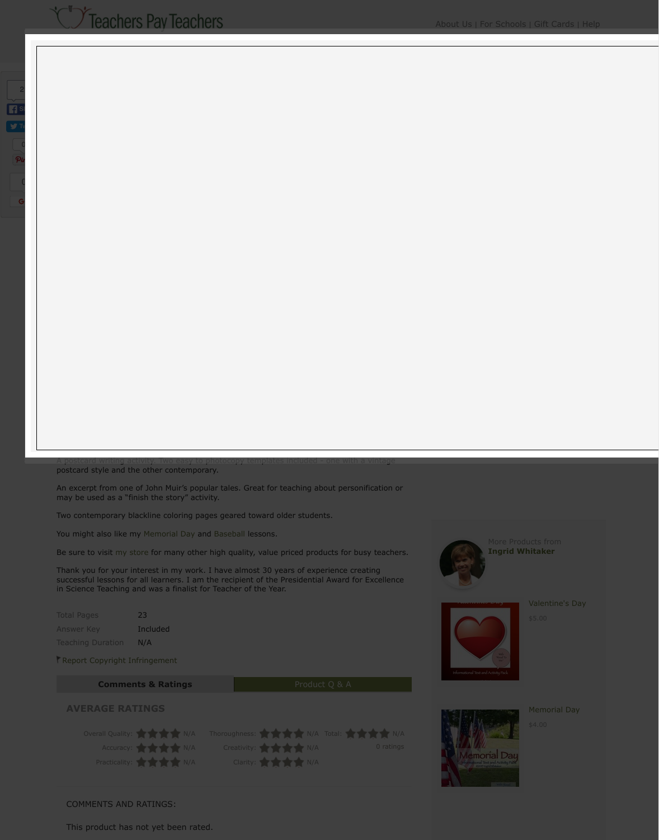$\overline{\text{conv}}$  , two easy to photocopy templa postcard style and the other contemporary.

An excerpt from one of John Muir's popular tales. Great for teaching about per may be used as a "finish the story" activity.

Two contemporary blackline coloring pages geared tow[ard older students.](https://www.teacherspayteachers.com/Browse/PreK-12-Subject-Area/Informational-Text?aref=6ec3mkst&aref=kbsx5v28)

You might also like my Memorial Day and Baseball less[ons](https://www.teacherspayteachers.com/Browse/Grade-Level/Fourth?aref=6ec3mkst&aref=kbsx5v28)[.](https://www.teacherspayteachers.com/Browse/Grade-Level/Twelfth?aref=6ec3mkst&aref=kbsx5v28)

Be sure to visit my store for many other high quality, v[alue priced p](https://www.teacherspayteachers.com/Browse/Type-of-Resource/Worksheets?aref=6ec3mkst&aref=kbsx5v28)[roducts fo](https://www.teacherspayteachers.com/Browse/Type-of-Resource/Activities?aref=6ec3mkst&aref=kbsx5v28)r

Thank you for your interest in my work. I have almost 30 years of experience successful lessons for all learners. I am the recipient of the Presidential Award in Science Teaching and was a finalist for Teacher of the Year.

| <b>Total Pages</b>       | 23              |
|--------------------------|-----------------|
| <b>Answer Key</b>        | <b>Included</b> |
| <b>Teaching Duration</b> | N/A             |

Report Copyright Infringement



## COMMENTS AND RATINGS:

This product has not yet been rated.